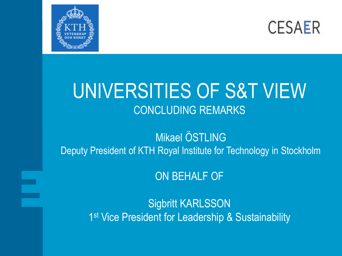



#### UNIVERSITIES OF S&T VIEW CONCLUDING REMARKS

Mikael ÖSTLING Deputy President of KTH Royal Institute for Technology in Stockholm

ON BEHALF OF

Sigbritt KARLSSON 1<sup>st</sup> Vice President for Leadership & Sustainability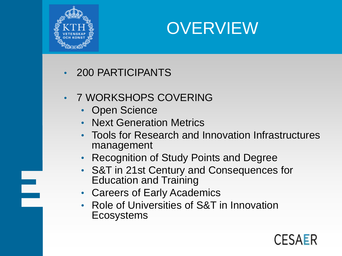

E.



- 200 PARTICIPANTS
- 7 WORKSHOPS COVERING
	- Open Science
	- Next Generation Metrics
	- Tools for Research and Innovation Infrastructures management
	- Recognition of Study Points and Degree
	- S&T in 21st Century and Consequences for Education and Training
	- Careers of Early Academics
	- Role of Universities of S&T in Innovation **Ecosystems**

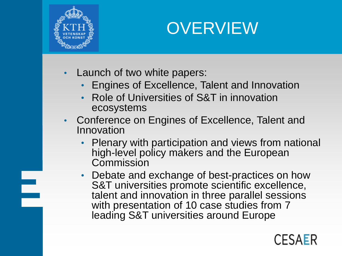

### **OVERVIEW**

- Launch of two white papers:
	- Engines of Excellence, Talent and Innovation
	- Role of Universities of S&T in innovation ecosystems
- Conference on Engines of Excellence, Talent and Innovation
	- Plenary with participation and views from national high-level policy makers and the European Commission
	- Debate and exchange of best-practices on how S&T universities promote scientific excellence, talent and innovation in three parallel sessions with presentation of 10 case studies from 7 leading S&T universities around Europe

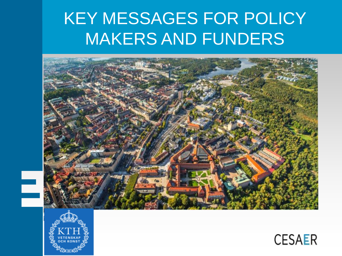### KEY MESSAGES FOR POLICY MAKERS AND FUNDERS





l<br>S

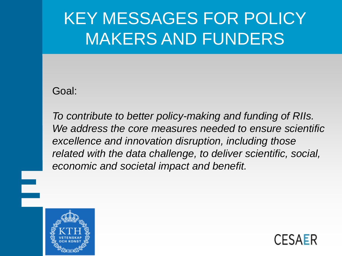## KEY MESSAGES FOR POLICY MAKERS AND FUNDERS

Goal:

*To contribute to better policy-making and funding of RIIs. We address the core measures needed to ensure scientific excellence and innovation disruption, including those related with the data challenge, to deliver scientific, social, economic and societal impact and benefit.*



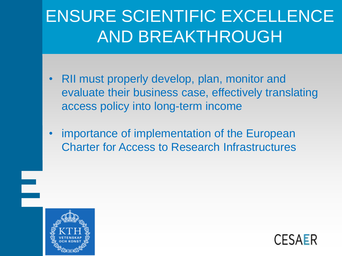# ENSURE SCIENTIFIC EXCELLENCE AND BREAKTHROUGH

- RII must properly develop, plan, monitor and evaluate their business case, effectively translating access policy into long-term income
- importance of implementation of the European Charter for Access to Research Infrastructures



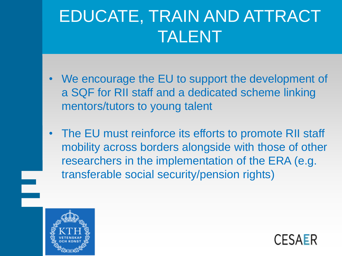## EDUCATE, TRAIN AND ATTRACT TALENT

- We encourage the EU to support the development of a SQF for RII staff and a dedicated scheme linking mentors/tutors to young talent
- The EU must reinforce its efforts to promote RII staff mobility across borders alongside with those of other researchers in the implementation of the ERA (e.g. transferable social security/pension rights)



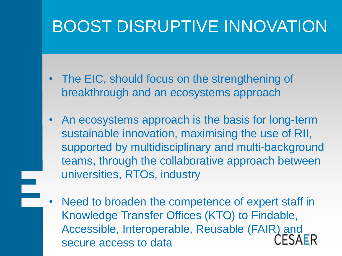### BOOST DISRUPTIVE INNOVATION

- The EIC, should focus on the strengthening of breakthrough and an ecosystems approach
- An ecosystems approach is the basis for long-term sustainable innovation, maximising the use of RII, supported by multidisciplinary and multi-background teams, through the collaborative approach between universities, RTOs, industry
- Need to broaden the competence of expert staff in Knowledge Transfer Offices (KTO) to Findable, Accessible, Interoperable, Reusable (FAIR) and secure access to data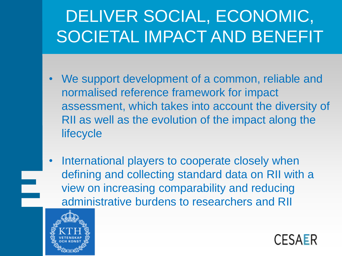# DELIVER SOCIAL, ECONOMIC, SOCIETAL IMPACT AND BENEFIT

- We support development of a common, reliable and normalised reference framework for impact assessment, which takes into account the diversity of RII as well as the evolution of the impact along the **lifecycle**
- International players to cooperate closely when defining and collecting standard data on RII with a view on increasing comparability and reducing administrative burdens to researchers and RII



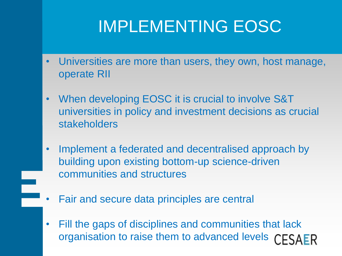### IMPLEMENTING EOSC

- Universities are more than users, they own, host manage, operate RII
- When developing EOSC it is crucial to involve S&T universities in policy and investment decisions as crucial stakeholders
- Implement a federated and decentralised approach by building upon existing bottom-up science-driven communities and structures
- Fair and secure data principles are central
- Fill the gaps of disciplines and communities that lack organisation to raise them to advanced levelsCESAER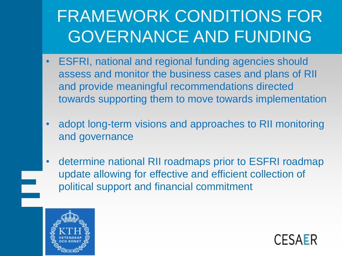# FRAMEWORK CONDITIONS FOR GOVERNANCE AND FUNDING

- ESFRI, national and regional funding agencies should assess and monitor the business cases and plans of RII and provide meaningful recommendations directed towards supporting them to move towards implementation
- adopt long-term visions and approaches to RII monitoring and governance
- determine national RII roadmaps prior to ESFRI roadmap update allowing for effective and efficient collection of political support and financial commitment



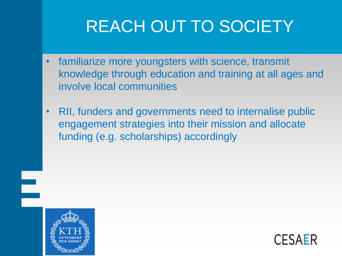# REACH OUT TO SOCIETY

- familiarize more youngsters with science, transmit knowledge through education and training at all ages and involve local communities
- RII, funders and governments need to internalise public engagement strategies into their mission and allocate funding (e.g. scholarships) accordingly